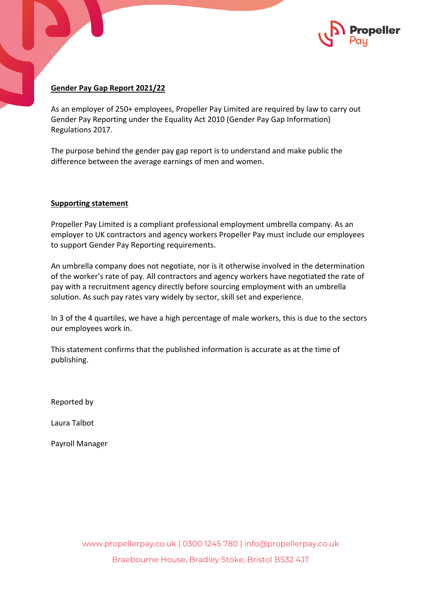

## **Gender Pay Gap Report 2021/22**

As an employer of 250+ employees, Propeller Pay Limited are required by law to carry out Gender Pay Reporting under the Equality Act 2010 (Gender Pay Gap Information) Regulations 2017.

The purpose behind the gender pay gap report is to understand and make public the difference between the average earnings of men and women.

## **Supporting statement**

Propeller Pay Limited is a compliant professional employment umbrella company. As an employer to UK contractors and agency workers Propeller Pay must include our employees to support Gender Pay Reporting requirements.

An umbrella company does not negotiate, nor is it otherwise involved in the determination of the worker's rate of pay. All contractors and agency workers have negotiated the rate of pay with a recruitment agency directly before sourcing employment with an umbrella solution. As such pay rates vary widely by sector, skill set and experience.

In 3 of the 4 quartiles, we have a high percentage of male workers, this is due to the sectors our employees work in.

This statement confirms that the published information is accurate as at the time of publishing.

Reported by

Laura Talbot

Payroll Manager